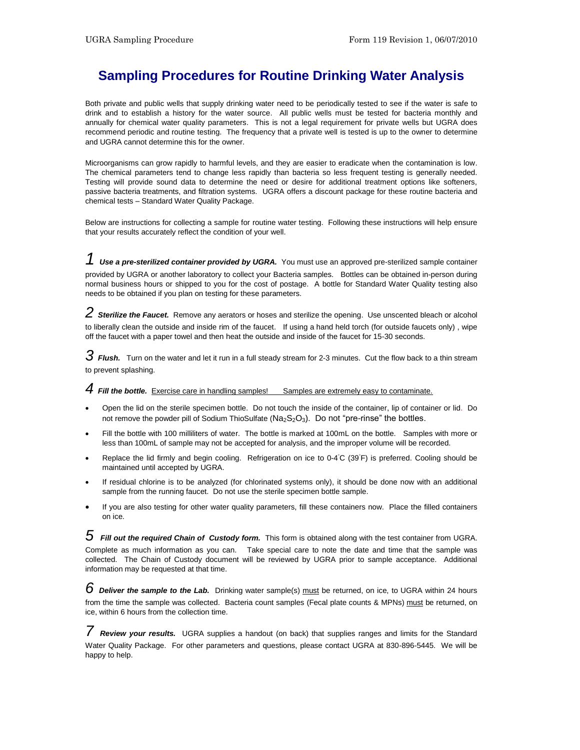## **Sampling Procedures for Routine Drinking Water Analysis**

Both private and public wells that supply drinking water need to be periodically tested to see if the water is safe to drink and to establish a history for the water source. All public wells must be tested for bacteria monthly and annually for chemical water quality parameters. This is not a legal requirement for private wells but UGRA does recommend periodic and routine testing. The frequency that a private well is tested is up to the owner to determine and UGRA cannot determine this for the owner.

Microorganisms can grow rapidly to harmful levels, and they are easier to eradicate when the contamination is low. The chemical parameters tend to change less rapidly than bacteria so less frequent testing is generally needed. Testing will provide sound data to determine the need or desire for additional treatment options like softeners, passive bacteria treatments, and filtration systems. UGRA offers a discount package for these routine bacteria and chemical tests – Standard Water Quality Package.

Below are instructions for collecting a sample for routine water testing. Following these instructions will help ensure that your results accurately reflect the condition of your well.

*1 Use a pre-sterilized container provided by UGRA.* You must use an approved pre-sterilized sample container provided by UGRA or another laboratory to collect your Bacteria samples. Bottles can be obtained in-person during normal business hours or shipped to you for the cost of postage. A bottle for Standard Water Quality testing also needs to be obtained if you plan on testing for these parameters.

*2 Sterilize the Faucet.* Remove any aerators or hoses and sterilize the opening. Use unscented bleach or alcohol to liberally clean the outside and inside rim of the faucet. If using a hand held torch (for outside faucets only) , wipe off the faucet with a paper towel and then heat the outside and inside of the faucet for 15-30 seconds.

*3 Flush.* Turn on the water and let it run in a full steady stream for 2-3 minutes. Cut the flow back to a thin stream to prevent splashing.

4 **Fill the bottle.** Exercise care in handling samples! Samples are extremely easy to contaminate.

- Open the lid on the sterile specimen bottle. Do not touch the inside of the container, lip of container or lid. Do not remove the powder pill of Sodium ThioSulfate ( $Na_2S_2O_3$ ). Do not "pre-rinse" the bottles.
- Fill the bottle with 100 milliliters of water. The bottle is marked at 100mL on the bottle. Samples with more or less than 100mL of sample may not be accepted for analysis, and the improper volume will be recorded.
- Replace the lid firmly and begin cooling. Refrigeration on ice to 0-4℃ (39°F) is preferred. Cooling should be maintained until accepted by UGRA.
- If residual chlorine is to be analyzed (for chlorinated systems only), it should be done now with an additional sample from the running faucet. Do not use the sterile specimen bottle sample.
- If you are also testing for other water quality parameters, fill these containers now. Place the filled containers on ice.

*5 Fill out the required Chain of Custody form.* This form is obtained along with the test container from UGRA. Complete as much information as you can. Take special care to note the date and time that the sample was collected. The Chain of Custody document will be reviewed by UGRA prior to sample acceptance. Additional information may be requested at that time.

*6 Deliver the sample to the Lab.* Drinking water sample(s) must be returned, on ice, to UGRA within 24 hours from the time the sample was collected. Bacteria count samples (Fecal plate counts & MPNs) must be returned, on ice, within 6 hours from the collection time.

*7 Review your results.* UGRA supplies a handout (on back) that supplies ranges and limits for the Standard Water Quality Package. For other parameters and questions, please contact UGRA at 830-896-5445. We will be happy to help.